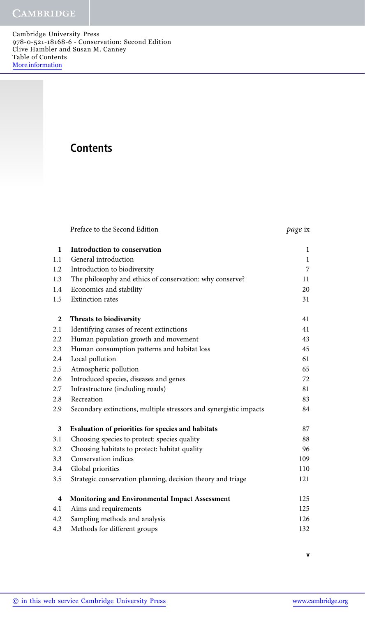Cambridge University Press 978-0-521-18168-6 - Conservation: Second Edition Clive Hambler and Susan M. Canney Table of Contents More information

## **Contents**

| Preface to the Second Edition . | <i>page</i> ix |
|---------------------------------|----------------|
|---------------------------------|----------------|

| $\mathbf{1}$            | Introduction to conservation                                      | $\,1$          |
|-------------------------|-------------------------------------------------------------------|----------------|
| 1.1                     | General introduction                                              | $\,1\,$        |
| 1.2                     | Introduction to biodiversity                                      | $\overline{7}$ |
| 1.3                     | The philosophy and ethics of conservation: why conserve?          | 11             |
| 1.4                     | Economics and stability                                           | 20             |
| 1.5                     | <b>Extinction</b> rates                                           | 31             |
| $\boldsymbol{2}$        | Threats to biodiversity                                           | 41             |
| 2.1                     | Identifying causes of recent extinctions                          | 41             |
| 2.2                     | Human population growth and movement                              | 43             |
| 2.3                     | Human consumption patterns and habitat loss                       | 45             |
| 2.4                     | Local pollution                                                   | 61             |
| 2.5                     | Atmospheric pollution                                             | 65             |
| 2.6                     | Introduced species, diseases and genes                            | 72             |
| 2.7                     | Infrastructure (including roads)                                  | 81             |
| 2.8                     | Recreation                                                        | 83             |
| 2.9                     | Secondary extinctions, multiple stressors and synergistic impacts | 84             |
| 3                       | Evaluation of priorities for species and habitats                 | 87             |
| 3.1                     | Choosing species to protect: species quality                      | 88             |
| 3.2                     | Choosing habitats to protect: habitat quality                     | 96             |
| 3.3                     | Conservation indices                                              | 109            |
| 3.4                     | Global priorities                                                 | 110            |
| 3.5                     | Strategic conservation planning, decision theory and triage       | 121            |
| $\overline{\mathbf{4}}$ | Monitoring and Environmental Impact Assessment                    | 125            |
| 4.1                     | Aims and requirements                                             | 125            |
| 4.2                     | Sampling methods and analysis                                     | 126            |
| 4.3                     | Methods for different groups                                      | 132            |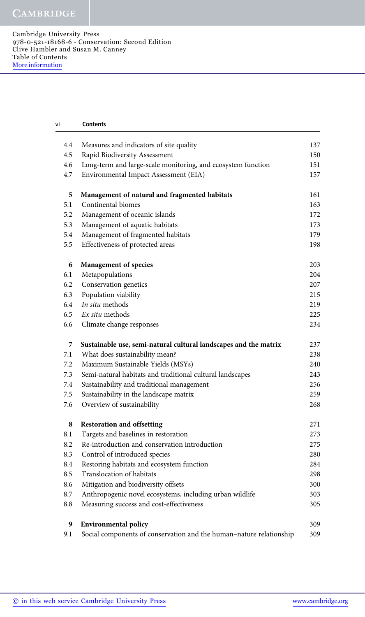Cambridge University Press 978-0-521-18168-6 - Conservation: Second Edition Clive Hambler and Susan M. Canney Table of Contents More information

| vi  | <b>Contents</b>                                                     |     |
|-----|---------------------------------------------------------------------|-----|
| 4.4 | Measures and indicators of site quality                             | 137 |
| 4.5 | Rapid Biodiversity Assessment                                       | 150 |
| 4.6 | Long-term and large-scale monitoring, and ecosystem function        | 151 |
| 4.7 | Environmental Impact Assessment (EIA)                               | 157 |
| 5   | Management of natural and fragmented habitats                       | 161 |
| 5.1 | Continental biomes                                                  | 163 |
| 5.2 | Management of oceanic islands                                       | 172 |
| 5.3 | Management of aquatic habitats                                      | 173 |
| 5.4 | Management of fragmented habitats                                   | 179 |
| 5.5 | Effectiveness of protected areas                                    | 198 |
| 6   | <b>Management of species</b>                                        | 203 |
| 6.1 | Metapopulations                                                     | 204 |
| 6.2 | Conservation genetics                                               | 207 |
| 6.3 | Population viability                                                | 215 |
| 6.4 | In situ methods                                                     | 219 |
| 6.5 | Ex situ methods                                                     | 225 |
| 6.6 | Climate change responses                                            | 234 |
| 7   | Sustainable use, semi-natural cultural landscapes and the matrix    | 237 |
| 7.1 | What does sustainability mean?                                      | 238 |
| 7.2 | Maximum Sustainable Yields (MSYs)                                   | 240 |
| 7.3 | Semi-natural habitats and traditional cultural landscapes           | 243 |
| 7.4 | Sustainability and traditional management                           | 256 |
| 7.5 | Sustainability in the landscape matrix                              | 259 |
| 7.6 | Overview of sustainability                                          | 268 |
| 8   | <b>Restoration and offsetting</b>                                   | 271 |
| 8.1 | Targets and baselines in restoration                                | 273 |
| 8.2 | Re-introduction and conservation introduction                       | 275 |
| 8.3 | Control of introduced species                                       | 280 |
| 8.4 | Restoring habitats and ecosystem function                           | 284 |
| 8.5 | Translocation of habitats                                           | 298 |
| 8.6 | Mitigation and biodiversity offsets                                 | 300 |
| 8.7 | Anthropogenic novel ecosystems, including urban wildlife            | 303 |
| 8.8 | Measuring success and cost-effectiveness                            | 305 |
| 9   | <b>Environmental policy</b>                                         | 309 |
| 9.1 | Social components of conservation and the human-nature relationship | 309 |